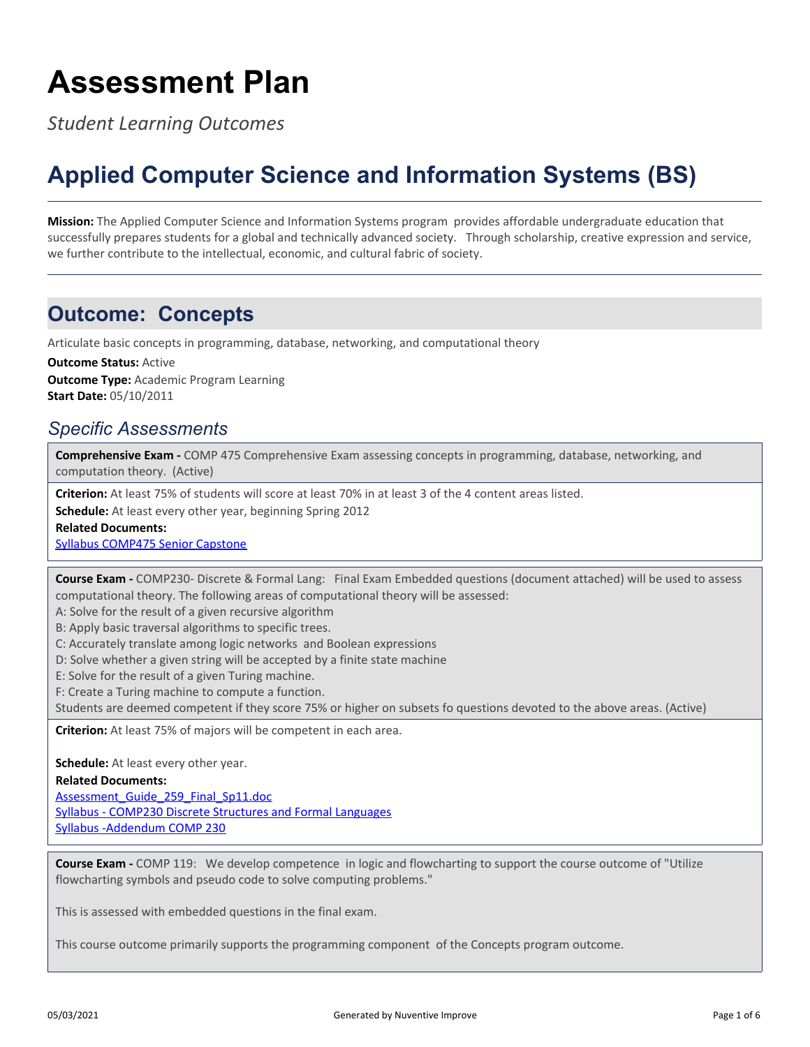# **Assessment Plan**

*Student Learning Outcomes*

# **Applied Computer Science and Information Systems (BS)**

**Mission:** The Applied Computer Science and Information Systems program provides affordable undergraduate education that successfully prepares students for a global and technically advanced society. Through scholarship, creative expression and service, we further contribute to the intellectual, economic, and cultural fabric of society.

## **Outcome: Concepts**

Articulate basic concepts in programming, database, networking, and computational theory

**Outcome Type:** Academic Program Learning **Outcome Status:** Active

**Start Date:** 05/10/2011

### *Specific Assessments*

**Comprehensive Exam -** COMP 475 Comprehensive Exam assessing concepts in programming, database, networking, and computation theory. (Active)

**Criterion:** At least 75% of students will score at least 70% in at least 3 of the 4 content areas listed.

**Schedule:** At least every other year, beginning Spring 2012

**Related Documents:**

[Syllabus COMP475 Senior Capstone](https://lhuptracdat.passhe.edu:443/tracdat/viewDocument?y=2Sd786Syx4CT)

**Course Exam -** COMP230- Discrete & Formal Lang: Final Exam Embedded questions (document attached) will be used to assess computational theory. The following areas of computational theory will be assessed:

- A: Solve for the result of a given recursive algorithm
- B: Apply basic traversal algorithms to specific trees.
- C: Accurately translate among logic networks and Boolean expressions
- D: Solve whether a given string will be accepted by a finite state machine
- E: Solve for the result of a given Turing machine.
- F: Create a Turing machine to compute a function.

Students are deemed competent if they score 75% or higher on subsets fo questions devoted to the above areas. (Active)

**Criterion:** At least 75% of majors will be competent in each area.

**Schedule:** At least every other year.

#### **Related Documents:**

[Assessment\\_Guide\\_259\\_Final\\_Sp11.doc](https://lhuptracdat.passhe.edu:443/tracdat/viewDocument?y=7CczNpqERGaf) [Syllabus - COMP230 Discrete Structures and Formal Languages](https://lhuptracdat.passhe.edu:443/tracdat/viewDocument?y=8kTXOp2amd3I) [Syllabus -Addendum COMP 230](https://lhuptracdat.passhe.edu:443/tracdat/viewDocument?y=paiUZyD1kuKR)

**Course Exam -** COMP 119: We develop competence in logic and flowcharting to support the course outcome of "Utilize flowcharting symbols and pseudo code to solve computing problems."

This is assessed with embedded questions in the final exam.

This course outcome primarily supports the programming component of the Concepts program outcome.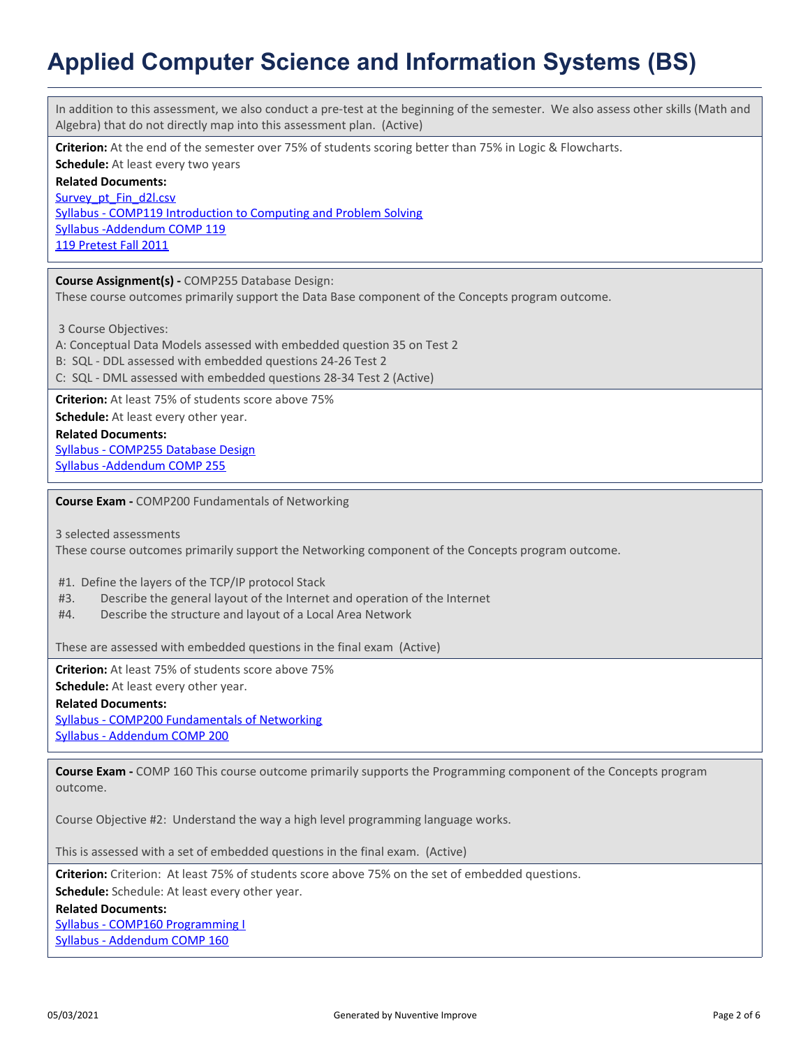In addition to this assessment, we also conduct a pre-test at the beginning of the semester. We also assess other skills (Math and Algebra) that do not directly map into this assessment plan. (Active)

**Criterion:** At the end of the semester over 75% of students scoring better than 75% in Logic & Flowcharts.

**Schedule:** At least every two years

**Related Documents:** Survey pt Fin d2l.csv [Syllabus - COMP119 Introduction to Computing and Problem Solving](https://lhuptracdat.passhe.edu:443/tracdat/viewDocument?y=haN7k1vpskAK) [Syllabus -Addendum COMP 119](https://lhuptracdat.passhe.edu:443/tracdat/viewDocument?y=4yivB9aEAKCg) [119 Pretest Fall 2011](https://lhuptracdat.passhe.edu:443/tracdat/viewDocument?y=gEWnB3d5jAG8)

**Course Assignment(s) -** COMP255 Database Design:

These course outcomes primarily support the Data Base component of the Concepts program outcome.

3 Course Objectives:

A: Conceptual Data Models assessed with embedded question 35 on Test 2

B: SQL - DDL assessed with embedded questions 24-26 Test 2

C: SQL - DML assessed with embedded questions 28-34 Test 2 (Active)

**Criterion:** At least 75% of students score above 75%

**Schedule:** At least every other year.

**Related Documents:**

[Syllabus - COMP255 Database Design](https://lhuptracdat.passhe.edu:443/tracdat/viewDocument?y=RvJZtaynwyT8) [Syllabus -Addendum COMP 255](https://lhuptracdat.passhe.edu:443/tracdat/viewDocument?y=JcdpVmQRuQDl)

**Course Exam -** COMP200 Fundamentals of Networking

3 selected assessments

These course outcomes primarily support the Networking component of the Concepts program outcome.

#1. Define the layers of the TCP/IP protocol Stack

- #3. Describe the general layout of the Internet and operation of the Internet
- #4. Describe the structure and layout of a Local Area Network

These are assessed with embedded questions in the final exam (Active)

**Criterion:** At least 75% of students score above 75%

**Schedule:** At least every other year.

**Related Documents:**

[Syllabus - COMP200 Fundamentals of Networking](https://lhuptracdat.passhe.edu:443/tracdat/viewDocument?y=QSQoK8O9EZGb) [Syllabus - Addendum COMP 200](https://lhuptracdat.passhe.edu:443/tracdat/viewDocument?y=yE2TnyzduzNE)

**Course Exam -** COMP 160 This course outcome primarily supports the Programming component of the Concepts program outcome.

Course Objective #2: Understand the way a high level programming language works.

This is assessed with a set of embedded questions in the final exam. (Active)

**Criterion:** Criterion: At least 75% of students score above 75% on the set of embedded questions.

**Schedule:** Schedule: At least every other year.

**Related Documents:**

[Syllabus - COMP160 Programming I](https://lhuptracdat.passhe.edu:443/tracdat/viewDocument?y=nCZVKeglcvQQ) [Syllabus - Addendum COMP 160](https://lhuptracdat.passhe.edu:443/tracdat/viewDocument?y=8RO5jAZKXXBv)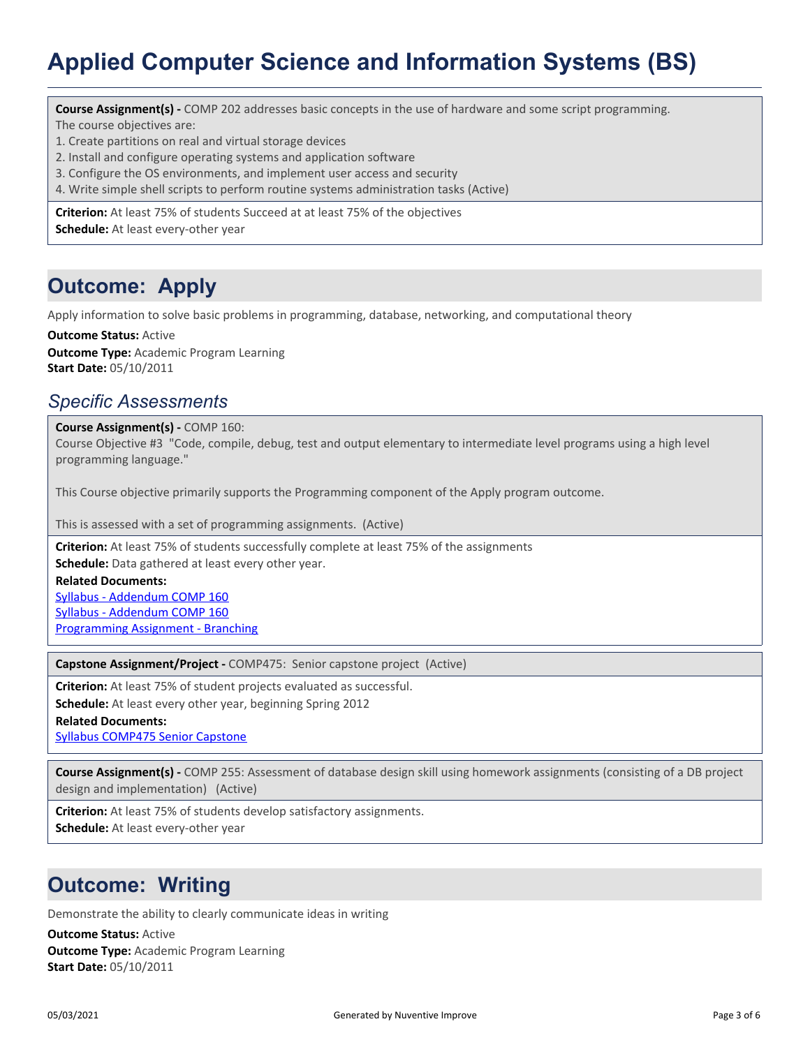**Course Assignment(s) -** COMP 202 addresses basic concepts in the use of hardware and some script programming. The course objectives are:

- 1. Create partitions on real and virtual storage devices
- 2. Install and configure operating systems and application software
- 3. Configure the OS environments, and implement user access and security
- 4. Write simple shell scripts to perform routine systems administration tasks (Active)

**Criterion:** At least 75% of students Succeed at at least 75% of the objectives

**Schedule:** At least every-other year

## **Outcome: Apply**

Apply information to solve basic problems in programming, database, networking, and computational theory

**Outcome Type:** Academic Program Learning **Start Date:** 05/10/2011 **Outcome Status:** Active

### *Specific Assessments*

#### **Course Assignment(s) -** COMP 160:

Course Objective #3 "Code, compile, debug, test and output elementary to intermediate level programs using a high level programming language."

This Course objective primarily supports the Programming component of the Apply program outcome.

This is assessed with a set of programming assignments. (Active)

**Criterion:** At least 75% of students successfully complete at least 75% of the assignments **Schedule:** Data gathered at least every other year.

**Related Documents:** [Syllabus - Addendum COMP 160](https://lhuptracdat.passhe.edu:443/tracdat/viewDocument?y=8RO5jAZKXXBv) [Syllabus - Addendum COMP 160](https://lhuptracdat.passhe.edu:443/tracdat/viewDocument?y=8RO5jAZKXXBv) [Programming Assignment - Branching](https://lhuptracdat.passhe.edu:443/tracdat/viewDocument?y=Mc78X2XVnJax)

**Capstone Assignment/Project -** COMP475: Senior capstone project (Active)

**Criterion:** At least 75% of student projects evaluated as successful.

**Schedule:** At least every other year, beginning Spring 2012

**Related Documents:**

[Syllabus COMP475 Senior Capstone](https://lhuptracdat.passhe.edu:443/tracdat/viewDocument?y=WR5PQllDv7pJ)

**Course Assignment(s) -** COMP 255: Assessment of database design skill using homework assignments (consisting of a DB project design and implementation) (Active)

**Criterion:** At least 75% of students develop satisfactory assignments.

**Schedule:** At least every-other year

## **Outcome: Writing**

Demonstrate the ability to clearly communicate ideas in writing

**Outcome Type:** Academic Program Learning **Start Date:** 05/10/2011 **Outcome Status:** Active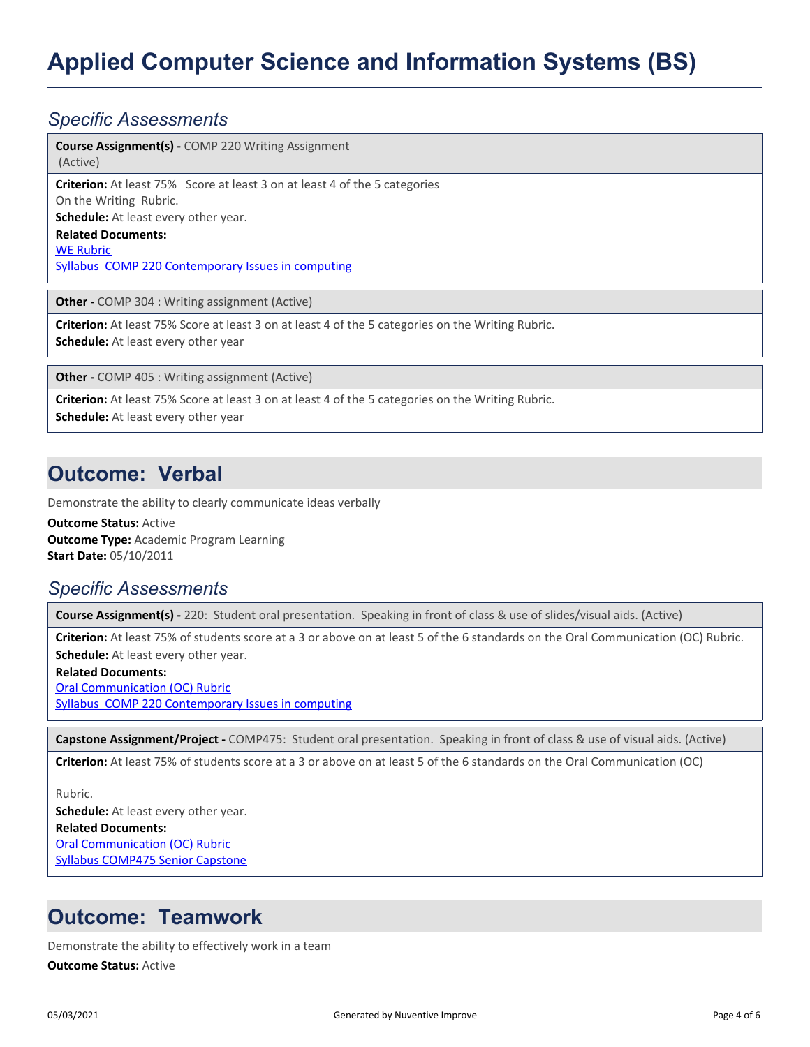### *Specific Assessments*

**Course Assignment(s) -** COMP 220 Writing Assignment (Active)

**Criterion:** At least 75% Score at least 3 on at least 4 of the 5 categories On the Writing Rubric.

**Schedule:** At least every other year.

**Related Documents:**

[WE Rubric](https://lhuptracdat.passhe.edu:443/tracdat/viewDocument?y=eJAUowgdV8B5)

[Syllabus COMP 220 Contemporary Issues in computing](https://lhuptracdat.passhe.edu:443/tracdat/viewDocument?y=z99nV3KymD56)

**Other - COMP 304 : Writing assignment (Active)** 

**Criterion:** At least 75% Score at least 3 on at least 4 of the 5 categories on the Writing Rubric. **Schedule:** At least every other year

**Other - COMP 405 : Writing assignment (Active)** 

**Criterion:** At least 75% Score at least 3 on at least 4 of the 5 categories on the Writing Rubric.

**Schedule:** At least every other year

## **Outcome: Verbal**

Demonstrate the ability to clearly communicate ideas verbally

**Outcome Type:** Academic Program Learning **Start Date:** 05/10/2011 **Outcome Status:** Active

### *Specific Assessments*

**Course Assignment(s) -** 220: Student oral presentation. Speaking in front of class & use of slides/visual aids. (Active)

**Criterion:** At least 75% of students score at a 3 or above on at least 5 of the 6 standards on the Oral Communication (OC) Rubric. **Schedule:** At least every other year.

#### **Related Documents:**

[Oral Communication \(OC\) Rubric](https://lhuptracdat.passhe.edu:443/tracdat/viewDocument?y=h5a28JmnSVLy) [Syllabus COMP 220 Contemporary Issues in computing](https://lhuptracdat.passhe.edu:443/tracdat/viewDocument?y=z99nV3KymD56)

**Capstone Assignment/Project -** COMP475: Student oral presentation. Speaking in front of class & use of visual aids. (Active)

**Criterion:** At least 75% of students score at a 3 or above on at least 5 of the 6 standards on the Oral Communication (OC)

**Related Documents:** [Oral Communication \(OC\) Rubric](https://lhuptracdat.passhe.edu:443/tracdat/viewDocument?y=h5a28JmnSVLy) [Syllabus COMP475 Senior Capstone](https://lhuptracdat.passhe.edu:443/tracdat/viewDocument?y=wHMz3A44KtNn) Rubric. **Schedule:** At least every other year.

## **Outcome: Teamwork**

Demonstrate the ability to effectively work in a team

**Outcome Status:** Active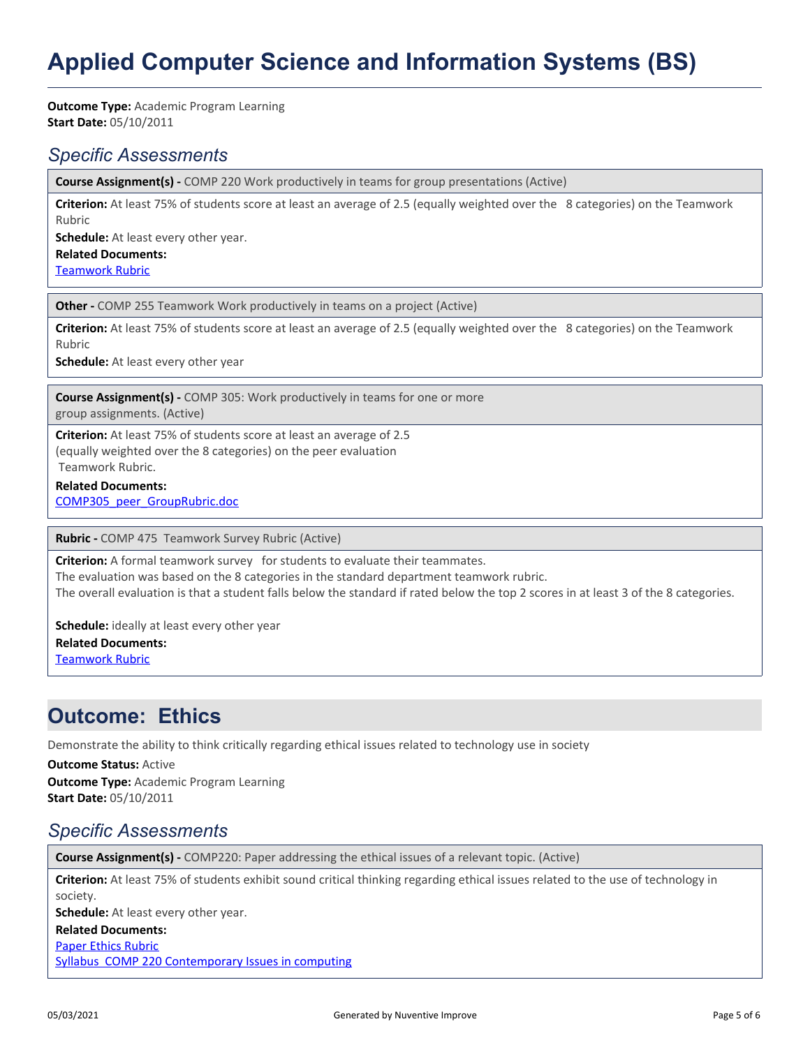**Outcome Type:** Academic Program Learning **Start Date:** 05/10/2011

#### *Specific Assessments*

**Course Assignment(s) -** COMP 220 Work productively in teams for group presentations (Active)

**Criterion:** At least 75% of students score at least an average of 2.5 (equally weighted over the 8 categories) on the Teamwork Rubric

**Schedule:** At least every other year.

#### **Related Documents:**

[Teamwork Rubric](https://lhuptracdat.passhe.edu:443/tracdat/viewDocument?y=41an4bEYMhH5)

**Other -** COMP 255 Teamwork Work productively in teams on a project (Active)

**Criterion:** At least 75% of students score at least an average of 2.5 (equally weighted over the 8 categories) on the Teamwork Rubric

**Schedule:** At least every other year

**Course Assignment(s) -** COMP 305: Work productively in teams for one or more group assignments. (Active)

**Criterion:** At least 75% of students score at least an average of 2.5 (equally weighted over the 8 categories) on the peer evaluation Teamwork Rubric.

**Related Documents:**

[COMP305\\_peer\\_GroupRubric.doc](https://lhuptracdat.passhe.edu:443/tracdat/viewDocument?y=qtsFVs2zSTfn)

**Rubric -** COMP 475 Teamwork Survey Rubric (Active)

**Criterion:** A formal teamwork survey for students to evaluate their teammates.

The evaluation was based on the 8 categories in the standard department teamwork rubric.

The overall evaluation is that a student falls below the standard if rated below the top 2 scores in at least 3 of the 8 categories.

**Related Documents:** [Teamwork Rubric](https://lhuptracdat.passhe.edu:443/tracdat/viewDocument?y=41an4bEYMhH5) **Schedule:** ideally at least every other year

## **Outcome: Ethics**

Demonstrate the ability to think critically regarding ethical issues related to technology use in society

**Outcome Type:** Academic Program Learning **Start Date:** 05/10/2011 **Outcome Status:** Active

### *Specific Assessments*

**Course Assignment(s) -** COMP220: Paper addressing the ethical issues of a relevant topic. (Active)

**Criterion:** At least 75% of students exhibit sound critical thinking regarding ethical issues related to the use of technology in society.

**Schedule:** At least every other year.

#### **Related Documents:**

[Paper Ethics Rubric](https://lhuptracdat.passhe.edu:443/tracdat/viewDocument?y=8DMbzU45VRMk) [Syllabus COMP 220 Contemporary Issues in computing](https://lhuptracdat.passhe.edu:443/tracdat/viewDocument?y=z99nV3KymD56)